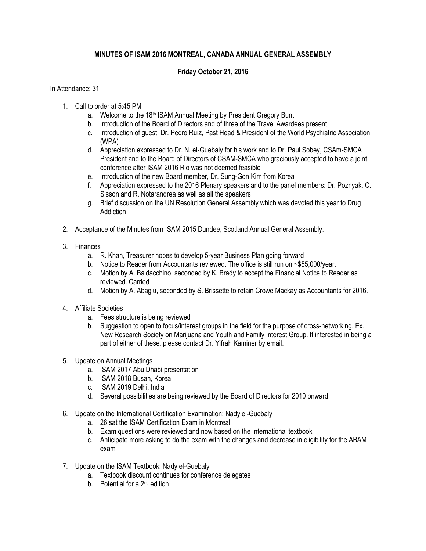## **MINUTES OF ISAM 2016 MONTREAL, CANADA ANNUAL GENERAL ASSEMBLY**

## **Friday October 21, 2016**

## In Attendance: 31

- 1. Call to order at 5:45 PM
	- a. Welcome to the 18<sup>th</sup> ISAM Annual Meeting by President Gregory Bunt
	- b. Introduction of the Board of Directors and of three of the Travel Awardees present
	- c. Introduction of guest, Dr. Pedro Ruiz, Past Head & President of the World Psychiatric Association (WPA)
	- d. Appreciation expressed to Dr. N. el-Guebaly for his work and to Dr. Paul Sobey, CSAm-SMCA President and to the Board of Directors of CSAM-SMCA who graciously accepted to have a joint conference after ISAM 2016 Rio was not deemed feasible
	- e. Introduction of the new Board member, Dr. Sung-Gon Kim from Korea
	- f. Appreciation expressed to the 2016 Plenary speakers and to the panel members: Dr. Poznyak, C. Sisson and R. Notarandrea as well as all the speakers
	- g. Brief discussion on the UN Resolution General Assembly which was devoted this year to Drug Addiction
- 2. Acceptance of the Minutes from ISAM 2015 Dundee, Scotland Annual General Assembly.
- 3. Finances
	- a. R. Khan, Treasurer hopes to develop 5-year Business Plan going forward
	- b. Notice to Reader from Accountants reviewed. The office is still run on ~\$55,000/year.
	- c. Motion by A. Baldacchino, seconded by K. Brady to accept the Financial Notice to Reader as reviewed. Carried
	- d. Motion by A. Abagiu, seconded by S. Brissette to retain Crowe Mackay as Accountants for 2016.
- 4. Affiliate Societies
	- a. Fees structure is being reviewed
	- b. Suggestion to open to focus/interest groups in the field for the purpose of cross-networking. Ex. New Research Society on Marijuana and Youth and Family Interest Group. If interested in being a part of either of these, please contact Dr. Yifrah Kaminer by email.
- 5. Update on Annual Meetings
	- a. ISAM 2017 Abu Dhabi presentation
	- b. ISAM 2018 Busan, Korea
	- c. ISAM 2019 Delhi, India
	- d. Several possibilities are being reviewed by the Board of Directors for 2010 onward
- 6. Update on the International Certification Examination: Nady el-Guebaly
	- a. 26 sat the ISAM Certification Exam in Montreal
	- b. Exam questions were reviewed and now based on the International textbook
	- c. Anticipate more asking to do the exam with the changes and decrease in eligibility for the ABAM exam
- 7. Update on the ISAM Textbook: Nady el-Guebaly
	- a. Textbook discount continues for conference delegates
	- b. Potential for a 2<sup>nd</sup> edition